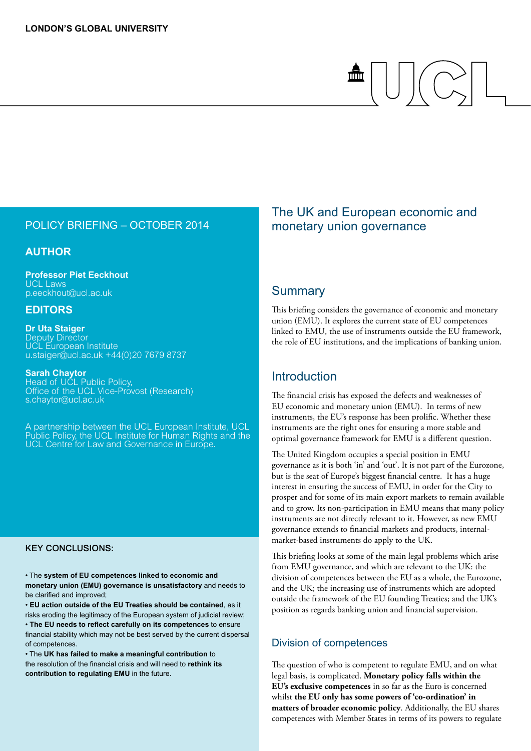#### policy briefing – october 2014

#### **Author**

**Professor Piet Eeckhout** UCL Laws p.eeckhout@ucl.ac.uk

#### **EDITORS**

**Dr Uta Staiger** Deputy Director UCL European Institute u.staiger@ucl.ac.uk +44(0)20 7679 8737

**Sarah Chaytor** Head of UCL Public Policy,

Office of the UCL Vice-Provost (Research) s.chaytor@ucl.ac.uk

A partnership between the UCL European Institute, UCL Public Policy, the UCL Institute for Human Rights and the UCL Centre for Law and Governance in Europe.

#### Key conclusions:

• The **system of EU competences linked to economic and monetary union (EMU) governance is unsatisfactory** and needs to be clarified and improved;

• **EU action outside of the EU Treaties should be contained**, as it risks eroding the legitimacy of the European system of judicial review; • **The EU needs to reflect carefully on its competences** to ensure financial stability which may not be best served by the current dispersal of competences.

• The **UK has failed to make a meaningful contribution** to the resolution of the financial crisis and will need to **rethink its contribution to regulating EMU** in the future.

### The UK and European economic and monetary union governance

 $\frac{2}{\ln 2}$ 

#### **Summary**

This briefing considers the governance of economic and monetary union (EMU). It explores the current state of EU competences linked to EMU, the use of instruments outside the EU framework, the role of EU institutions, and the implications of banking union.

#### Introduction

The financial crisis has exposed the defects and weaknesses of EU economic and monetary union (EMU). In terms of new instruments, the EU's response has been prolific. Whether these instruments are the right ones for ensuring a more stable and optimal governance framework for EMU is a different question.

The United Kingdom occupies a special position in EMU governance as it is both 'in' and 'out'. It is not part of the Eurozone, but is the seat of Europe's biggest financial centre. It has a huge interest in ensuring the success of EMU, in order for the City to prosper and for some of its main export markets to remain available and to grow. Its non-participation in EMU means that many policy instruments are not directly relevant to it. However, as new EMU governance extends to financial markets and products, internalmarket-based instruments do apply to the UK.

This briefing looks at some of the main legal problems which arise from EMU governance, and which are relevant to the UK: the division of competences between the EU as a whole, the Eurozone, and the UK; the increasing use of instruments which are adopted outside the framework of the EU founding Treaties; and the UK's position as regards banking union and financial supervision.

#### Division of competences

The question of who is competent to regulate EMU, and on what legal basis, is complicated. **Monetary policy falls within the EU's exclusive competences** in so far as the Euro is concerned whilst **the EU only has some powers of 'co-ordination' in matters of broader economic policy**. Additionally, the EU shares competences with Member States in terms of its powers to regulate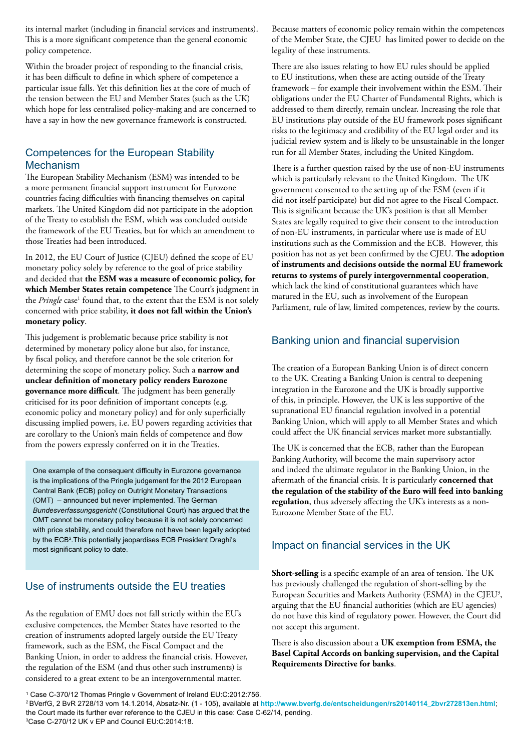its internal market (including in financial services and instruments). This is a more significant competence than the general economic policy competence.

Within the broader project of responding to the financial crisis, it has been difficult to define in which sphere of competence a particular issue falls. Yet this definition lies at the core of much of the tension between the EU and Member States (such as the UK) which hope for less centralised policy-making and are concerned to have a say in how the new governance framework is constructed.

#### Competences for the European Stability Mechanism

The European Stability Mechanism (ESM) was intended to be a more permanent financial support instrument for Eurozone countries facing difficulties with financing themselves on capital markets. The United Kingdom did not participate in the adoption of the Treaty to establish the ESM, which was concluded outside the framework of the EU Treaties, but for which an amendment to those Treaties had been introduced.

In 2012, the EU Court of Justice (CJEU) defined the scope of EU monetary policy solely by reference to the goal of price stability and decided that **the ESM was a measure of economic policy, for which Member States retain competence** The Court's judgment in the *Pringle* case<sup>1</sup> found that, to the extent that the ESM is not solely concerned with price stability, **it does not fall within the Union's monetary policy**.

This judgement is problematic because price stability is not determined by monetary policy alone but also, for instance, by fiscal policy, and therefore cannot be the sole criterion for determining the scope of monetary policy. Such a **narrow and unclear definition of monetary policy renders Eurozone governance more difficult**. The judgment has been generally criticised for its poor definition of important concepts (e.g. economic policy and monetary policy) and for only superficially discussing implied powers, i.e. EU powers regarding activities that are corollary to the Union's main fields of competence and flow from the powers expressly conferred on it in the Treaties.

One example of the consequent difficulty in Eurozone governance is the implications of the Pringle judgement for the 2012 European Central Bank (ECB) policy on Outright Monetary Transactions (OMT) – announced but never implemented. The German *Bundesverfassungsgericht* (Constitutional Court) has argued that the OMT cannot be monetary policy because it is not solely concerned with price stability, and could therefore not have been legally adopted by the ECB<sup>2</sup>. This potentially jeopardises ECB President Draghi's most significant policy to date.

#### Use of instruments outside the EU treaties

As the regulation of EMU does not fall strictly within the EU's exclusive competences, the Member States have resorted to the creation of instruments adopted largely outside the EU Treaty framework, such as the ESM, the Fiscal Compact and the Banking Union, in order to address the financial crisis. However, the regulation of the ESM (and thus other such instruments) is considered to a great extent to be an intergovernmental matter.

Because matters of economic policy remain within the competences of the Member State, the CJEU has limited power to decide on the legality of these instruments.

There are also issues relating to how EU rules should be applied to EU institutions, when these are acting outside of the Treaty framework – for example their involvement within the ESM. Their obligations under the EU Charter of Fundamental Rights, which is addressed to them directly, remain unclear. Increasing the role that EU institutions play outside of the EU framework poses significant risks to the legitimacy and credibility of the EU legal order and its judicial review system and is likely to be unsustainable in the longer run for all Member States, including the United Kingdom.

There is a further question raised by the use of non-EU instruments which is particularly relevant to the United Kingdom. The UK government consented to the setting up of the ESM (even if it did not itself participate) but did not agree to the Fiscal Compact. This is significant because the UK's position is that all Member States are legally required to give their consent to the introduction of non-EU instruments, in particular where use is made of EU institutions such as the Commission and the ECB. However, this position has not as yet been confirmed by the CJEU. **The adoption of instruments and decisions outside the normal EU framework returns to systems of purely intergovernmental cooperation**, which lack the kind of constitutional guarantees which have matured in the EU, such as involvement of the European Parliament, rule of law, limited competences, review by the courts.

#### Banking union and financial supervision

The creation of a European Banking Union is of direct concern to the UK. Creating a Banking Union is central to deepening integration in the Eurozone and the UK is broadly supportive of this, in principle. However, the UK is less supportive of the supranational EU financial regulation involved in a potential Banking Union, which will apply to all Member States and which could affect the UK financial services market more substantially.

The UK is concerned that the ECB, rather than the European Banking Authority, will become the main supervisory actor and indeed the ultimate regulator in the Banking Union, in the aftermath of the financial crisis. It is particularly **concerned that the regulation of the stability of the Euro will feed into banking regulation**, thus adversely affecting the UK's interests as a non-Eurozone Member State of the EU.

#### Impact on financial services in the UK

**Short-selling** is a specific example of an area of tension. The UK has previously challenged the regulation of short-selling by the European Securities and Markets Authority (ESMA) in the CJEU<sup>3</sup>, arguing that the EU financial authorities (which are EU agencies) do not have this kind of regulatory power. However, the Court did not accept this argument.

There is also discussion about a **UK exemption from ESMA, the Basel Capital Accords on banking supervision, and the Capital Requirements Directive for banks**.

<sup>1</sup> Case C-370/12 Thomas Pringle v Government of Ireland EU:C:2012:756.

<sup>2</sup> BVerfG, 2 BvR 2728/13 vom 14.1.2014, Absatz-Nr. (1 - 105), available at **[http://www.bverfg.de/entscheidungen/rs20140114\\_2bvr272813en.html](http://www.bverfg.de/entscheidungen/rs20140114_2bvr272813en.html)**; the Court made its further ever reference to the CJEU in this case: Case C-62/14, pending.

<sup>3</sup> Case C-270/12 UK v EP and Council EU:C:2014:18.